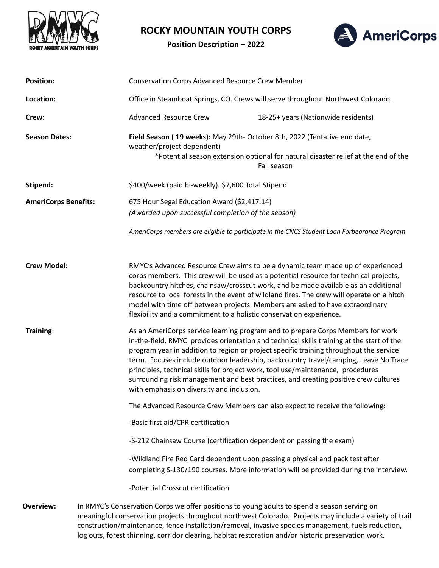

## **ROCKY MOUNTAIN YOUTH CORPS**

**Position Description – 2022**



| <b>Position:</b>            |                                                                                                                                                                                                                                                                                                                | <b>Conservation Corps Advanced Resource Crew Member</b>                                                                                                                                                                                                                                                                                                                                                                                                                                                                                                                               |                                                                                                   |
|-----------------------------|----------------------------------------------------------------------------------------------------------------------------------------------------------------------------------------------------------------------------------------------------------------------------------------------------------------|---------------------------------------------------------------------------------------------------------------------------------------------------------------------------------------------------------------------------------------------------------------------------------------------------------------------------------------------------------------------------------------------------------------------------------------------------------------------------------------------------------------------------------------------------------------------------------------|---------------------------------------------------------------------------------------------------|
| Location:                   |                                                                                                                                                                                                                                                                                                                | Office in Steamboat Springs, CO. Crews will serve throughout Northwest Colorado.                                                                                                                                                                                                                                                                                                                                                                                                                                                                                                      |                                                                                                   |
| Crew:                       |                                                                                                                                                                                                                                                                                                                | <b>Advanced Resource Crew</b>                                                                                                                                                                                                                                                                                                                                                                                                                                                                                                                                                         | 18-25+ years (Nationwide residents)                                                               |
| <b>Season Dates:</b>        |                                                                                                                                                                                                                                                                                                                | Field Season (19 weeks): May 29th- October 8th, 2022 (Tentative end date,<br>weather/project dependent)                                                                                                                                                                                                                                                                                                                                                                                                                                                                               | *Potential season extension optional for natural disaster relief at the end of the<br>Fall season |
| Stipend:                    |                                                                                                                                                                                                                                                                                                                | \$400/week (paid bi-weekly). \$7,600 Total Stipend                                                                                                                                                                                                                                                                                                                                                                                                                                                                                                                                    |                                                                                                   |
| <b>AmeriCorps Benefits:</b> |                                                                                                                                                                                                                                                                                                                | 675 Hour Segal Education Award (\$2,417.14)<br>(Awarded upon successful completion of the season)<br>AmeriCorps members are eligible to participate in the CNCS Student Loan Forbearance Program                                                                                                                                                                                                                                                                                                                                                                                      |                                                                                                   |
|                             |                                                                                                                                                                                                                                                                                                                |                                                                                                                                                                                                                                                                                                                                                                                                                                                                                                                                                                                       |                                                                                                   |
| <b>Crew Model:</b>          |                                                                                                                                                                                                                                                                                                                | RMYC's Advanced Resource Crew aims to be a dynamic team made up of experienced<br>corps members. This crew will be used as a potential resource for technical projects,<br>backcountry hitches, chainsaw/crosscut work, and be made available as an additional<br>resource to local forests in the event of wildland fires. The crew will operate on a hitch<br>model with time off between projects. Members are asked to have extraordinary<br>flexibility and a commitment to a holistic conservation experience.                                                                  |                                                                                                   |
| Training:                   |                                                                                                                                                                                                                                                                                                                | As an AmeriCorps service learning program and to prepare Corps Members for work<br>in-the-field, RMYC provides orientation and technical skills training at the start of the<br>program year in addition to region or project specific training throughout the service<br>term. Focuses include outdoor leadership, backcountry travel/camping, Leave No Trace<br>principles, technical skills for project work, tool use/maintenance, procedures<br>surrounding risk management and best practices, and creating positive crew cultures<br>with emphasis on diversity and inclusion. |                                                                                                   |
|                             |                                                                                                                                                                                                                                                                                                                | The Advanced Resource Crew Members can also expect to receive the following:                                                                                                                                                                                                                                                                                                                                                                                                                                                                                                          |                                                                                                   |
|                             |                                                                                                                                                                                                                                                                                                                | -Basic first aid/CPR certification                                                                                                                                                                                                                                                                                                                                                                                                                                                                                                                                                    |                                                                                                   |
|                             |                                                                                                                                                                                                                                                                                                                | -S-212 Chainsaw Course (certification dependent on passing the exam)                                                                                                                                                                                                                                                                                                                                                                                                                                                                                                                  |                                                                                                   |
|                             |                                                                                                                                                                                                                                                                                                                | -Wildland Fire Red Card dependent upon passing a physical and pack test after                                                                                                                                                                                                                                                                                                                                                                                                                                                                                                         | completing S-130/190 courses. More information will be provided during the interview.             |
|                             |                                                                                                                                                                                                                                                                                                                | -Potential Crosscut certification                                                                                                                                                                                                                                                                                                                                                                                                                                                                                                                                                     |                                                                                                   |
| <b>Overview:</b>            | In RMYC's Conservation Corps we offer positions to young adults to spend a season serving on<br>meaningful conservation projects throughout northwest Colorado. Projects may include a variety of trail<br>construction/maintenance, fence installation/removal, invasive species management, fuels reduction, |                                                                                                                                                                                                                                                                                                                                                                                                                                                                                                                                                                                       |                                                                                                   |

log outs, forest thinning, corridor clearing, habitat restoration and/or historic preservation work.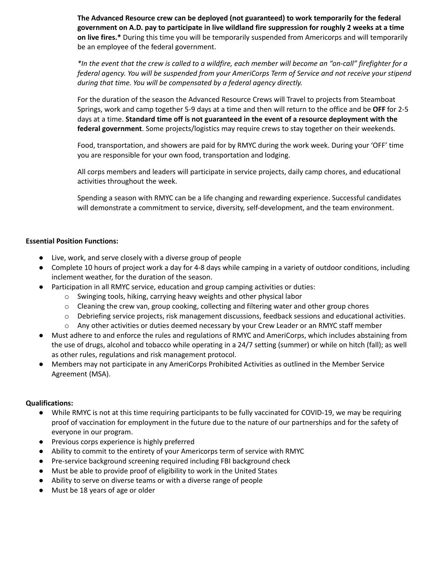**The Advanced Resource crew can be deployed (not guaranteed) to work temporarily for the federal** government on A.D. pay to participate in live wildland fire suppression for roughly 2 weeks at a time **on live fires.\*** During this time you will be temporarily suspended from Americorps and will temporarily be an employee of the federal government.

\*In the event that the crew is called to a wildfire, each member will become an "on-call" firefighter for a *federal agency. You will be suspended from your AmeriCorps Term of Service and not receive your stipend during that time. You will be compensated by a federal agency directly.*

For the duration of the season the Advanced Resource Crews will Travel to projects from Steamboat Springs, work and camp together 5-9 days at a time and then will return to the office and be **OFF** for 2-5 days at a time. **Standard time off is not guaranteed in the event of a resource deployment with the federal government**. Some projects/logistics may require crews to stay together on their weekends.

Food, transportation, and showers are paid for by RMYC during the work week. During your 'OFF' time you are responsible for your own food, transportation and lodging.

All corps members and leaders will participate in service projects, daily camp chores, and educational activities throughout the week.

Spending a season with RMYC can be a life changing and rewarding experience. Successful candidates will demonstrate a commitment to service, diversity, self-development, and the team environment.

## **Essential Position Functions:**

- Live, work, and serve closely with a diverse group of people
- Complete 10 hours of project work a day for 4-8 days while camping in a variety of outdoor conditions, including inclement weather, for the duration of the season.
- Participation in all RMYC service, education and group camping activities or duties:
	- $\circ$  Swinging tools, hiking, carrying heavy weights and other physical labor
	- $\circ$  Cleaning the crew van, group cooking, collecting and filtering water and other group chores
	- o Debriefing service projects, risk management discussions, feedback sessions and educational activities.
	- o Any other activities or duties deemed necessary by your Crew Leader or an RMYC staff member
- Must adhere to and enforce the rules and regulations of RMYC and AmeriCorps, which includes abstaining from the use of drugs, alcohol and tobacco while operating in a 24/7 setting (summer) or while on hitch (fall); as well as other rules, regulations and risk management protocol.
- Members may not participate in any AmeriCorps Prohibited Activities as outlined in the Member Service Agreement (MSA).

## **Qualifications:**

- While RMYC is not at this time requiring participants to be fully vaccinated for COVID-19, we may be requiring proof of vaccination for employment in the future due to the nature of our partnerships and for the safety of everyone in our program.
- Previous corps experience is highly preferred
- Ability to commit to the entirety of your Americorps term of service with RMYC
- Pre-service background screening required including FBI background check
- Must be able to provide proof of eligibility to work in the United States
- Ability to serve on diverse teams or with a diverse range of people
- Must be 18 years of age or older